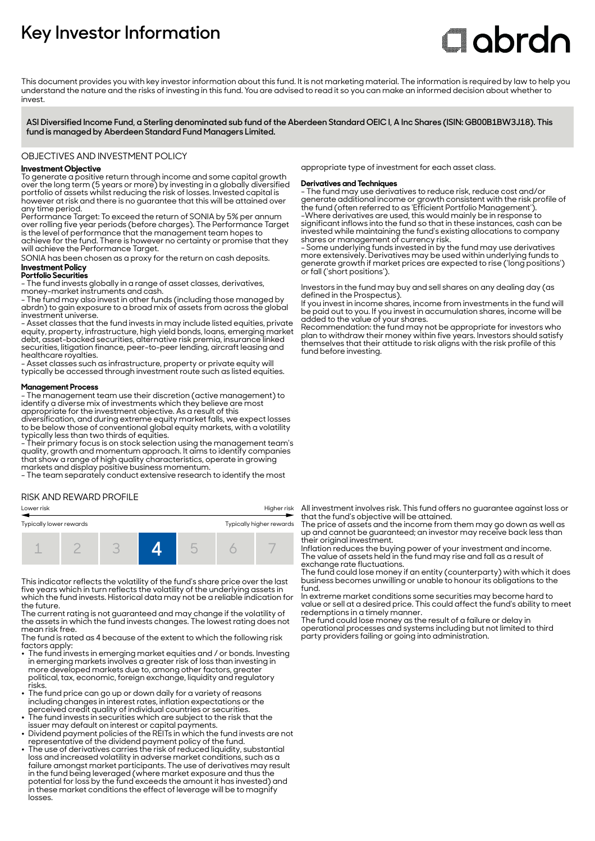# **Key Investor Information**

# **Clobrdn**

This document provides you with key investor information about this fund. It is not marketing material. The information is required by law to help you understand the nature and the risks of investing in this fund. You are advised to read it so you can make an informed decision about whether to invest

**ASI Diversified Income Fund, a Sterling denominated sub fund of the Aberdeen Standard OEIC I, A Inc Shares (ISIN: GB00B1BW3J18). This fund is managed by Aberdeen Standard Fund Managers Limited.**

OBJECTIVES AND INVESTMENT POLICY

# **Investment Objective**

To generate a positive return through income and some capital growth over the long term (5 years or more) by investing in a globally diversified portfolio of assets whilst reducing the risk of losses. Invested capital is however at risk and there is no guarantee that this will be attained over any time period.

Performance Target: To exceed the return of SONIA by 5% per annum over rolling five year periods (before charges). The Performance Target is the level of performance that the management team hopes to achieve for the fund. There is however no certainty or promise that they will achieve the Performance Target.

SONIA has been chosen as a proxy for the return on cash deposits.

# **Investment Policy**

**Portfolio Securities**

- The fund invests globally in a range of asset classes, derivatives, money-market instruments and cash.

- The fund may also invest in other funds (including those managed by abrdn) to gain exposure to a broad mix of assets from across the global investment universe.

- Asset classes that the fund invests in may include listed equities, private equity, property, infrastructure, high yield bonds, loans, emerging market debt, asset-backed securities, alternative risk premia, insurance linked securities, litigation finance, peer-to-peer lending, aircraft leasing and healthcare royalties.

- Asset classes such as infrastructure, property or private equity will typically be accessed through investment route such as listed equities.

#### **Management Process**

- The management team use their discretion (active management) to identify a diverse mix of investments which they believe are most appropriate for the investment objective. As a result of this

diversification, and during extreme equity market falls, we expect losses to be below those of conventional global equity markets, with a volatility typically less than two thirds of equities.

- Their primary focus is on stock selection using the management team's quality, growth and momentum approach. It aims to identify companies that show a range of high quality characteristics, operate in growing markets and display positive business momentum.

- The team separately conduct extensive research to identify the most

# RISK AND REWARD PROFILE



This indicator reflects the volatility of the fund's share price over the last five years which in turn reflects the volatility of the underlying assets in which the fund invests. Historical data may not be a reliable indication for the future.

The current rating is not guaranteed and may change if the volatility of the assets in which the fund invests changes. The lowest rating does not mean risk free.

The fund is rated as 4 because of the extent to which the following risk

- factors apply: 2 The fund invests in emerging market equities and / or bonds. Investing in emerging markets involves a greater risk of loss than investing in more developed markets due to, among other factors, greater political, tax, economic, foreign exchange, liquidity and regulatory risks.
- The fund price can go up or down daily for a variety of reasons including changes in interest rates, inflation expectations or the
- perceived credit quality of individual countries or securities. 2 The fund invests in securities which are subject to the risk that the issuer may default on interest or capital payments.
- Dividend payment policies of the REITs in which the fund invests are not
- representative of the dividend payment policy of the fund. 2 The use of derivatives carries the risk of reduced liquidity, substantial loss and increased volatility in adverse market conditions, such as a failure amongst market participants. The use of derivatives may result in the fund being leveraged (where market exposure and thus the potential for loss by the fund exceeds the amount it has invested) and in these market conditions the effect of leverage will be to magnify losses.

appropriate type of investment for each asset class.

## **Derivatives and Techniques**

- The fund may use derivatives to reduce risk, reduce cost and/or generate additional income or growth consistent with the risk profile of the fund (often referred to as 'Efficient Portfolio Management'). -Where derivatives are used, this would mainly be in response to significant inflows into the fund so that in these instances, cash can be invested while maintaining the fund's existing allocations to company shares or management of currency risk.

- Some underlying funds invested in by the fund may use derivatives more extensively. Derivatives may be used within underlying funds to generate growth if market prices are expected to rise ('long positions') or fall ('short positions').

Investors in the fund may buy and sell shares on any dealing day (as defined in the Prospectus).

If you invest in income shares, income from investments in the fund will be paid out to you. If you invest in accumulation shares, income will be added to the value of your shares.

Recommendation: the fund may not be appropriate for investors who plan to withdraw their money within five years. Investors should satisfy themselves that their attitude to risk aligns with the risk profile of this fund before investing.

All investment involves risk. This fund offers no guarantee against loss or that the fund's objective will be attained.

The price of assets and the income from them may go down as well as up and cannot be guaranteed; an investor may receive back less than their original investment.

Inflation reduces the buying power of your investment and income. The value of assets held in the fund may rise and fall as a result of exchange rate fluctuations.

The fund could lose money if an entity (counterparty) with which it does business becomes unwilling or unable to honour its obligations to the fund.

In extreme market conditions some securities may become hard to value or sell at a desired price. This could affect the fund's ability to meet redemptions in a timely manner.

The fund could lose money as the result of a failure or delay in operational processes and systems including but not limited to third party providers failing or going into administration.